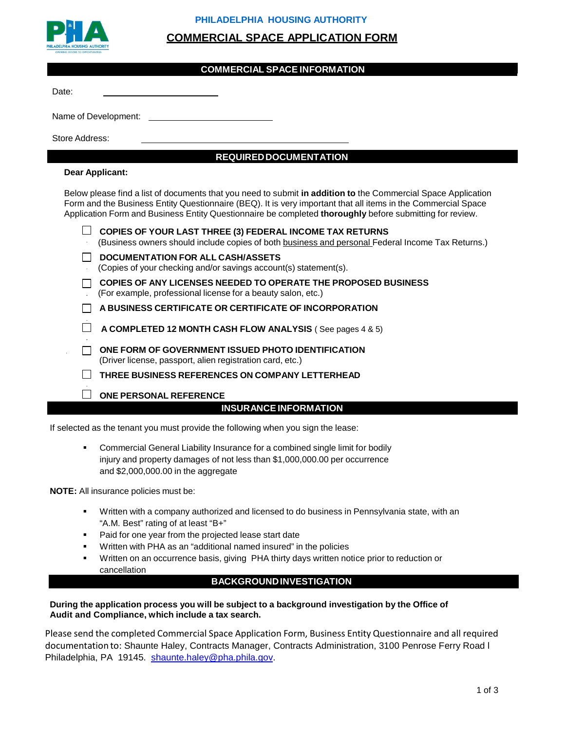

## **PHILADELPHIA HOUSING AUTHORITY**

# **COMMERCIAL SPACE APPLICATION FORM**

### **COMMERCIAL SPACE INFORMATION**

Date:

Name of Development:

Store Address:

# **REQUIREDDOCUMENTATION**

#### **Dear Applicant:**

Below please find a list of documents that you need to submit **in addition to** the Commercial Space Application Form and the Business Entity Questionnaire (BEQ). It is very important that all items in the Commercial Space Application Form and Business Entity Questionnaire be completed **thoroughly** before submitting for review.

| $\Box$ COPIES OF YOUR LAST THREE (3) FEDERAL INCOME TAX RETURNS                                   |
|---------------------------------------------------------------------------------------------------|
| (Business owners should include copies of both business and personal Federal Income Tax Returns.) |
| $\Box$ DOCUMENTATION FOR ALL CASH/ASSETS                                                          |

- (Copies of your checking and/or savings account(s) statement(s).
- **COPIES OF ANY LICENSES NEEDED TO OPERATE THE PROPOSED BUSINESS**
- (For example, professional license for a beauty salon, etc.)

**A BUSINESS CERTIFICATE OR CERTIFICATE OF INCORPORATION**

- **A COMPLETED 12 MONTH CASH FLOW ANALYSIS** ( See pages 4 & 5)
- **ONE FORM OF GOVERNMENT ISSUED PHOTO IDENTIFICATION** (Driver license, passport, alien registration card, etc.)
- **THREE BUSINESS REFERENCES ON COMPANY LETTERHEAD**
- **ONE PERSONAL REFERENCE**

# **INSURANCEINFORMATION**

If selected as the tenant you must provide the following when you sign the lease:

 Commercial General Liability Insurance for a combined single limit for bodily injury and property damages of not less than \$1,000,000.00 per occurrence and \$2,000,000.00 in the aggregate

**NOTE:** All insurance policies must be:

- Written with a company authorized and licensed to do business in Pennsylvania state, with an "A.M. Best" rating of at least "B+"
- Paid for one year from the projected lease start date
- Written with PHA as an "additional named insured" in the policies
- Written on an occurrence basis, giving PHA thirty days written notice prior to reduction or cancellation

## **BACKGROUNDINVESTIGATION**

#### **During the application process you will be subject to a background investigation by the Office of Audit and Compliance, which include a tax search.**

Please send the completed Commercial Space Application Form, Business Entity Questionnaire and all required documentation to: Shaunte Haley, Contracts Manager, Contracts Administration, 3100 Penrose Ferry Road l Philadelphia, PA 19145. [shaunte.haley@pha.phila.gov.](mailto:shaunte.haley@pha.phila.gov)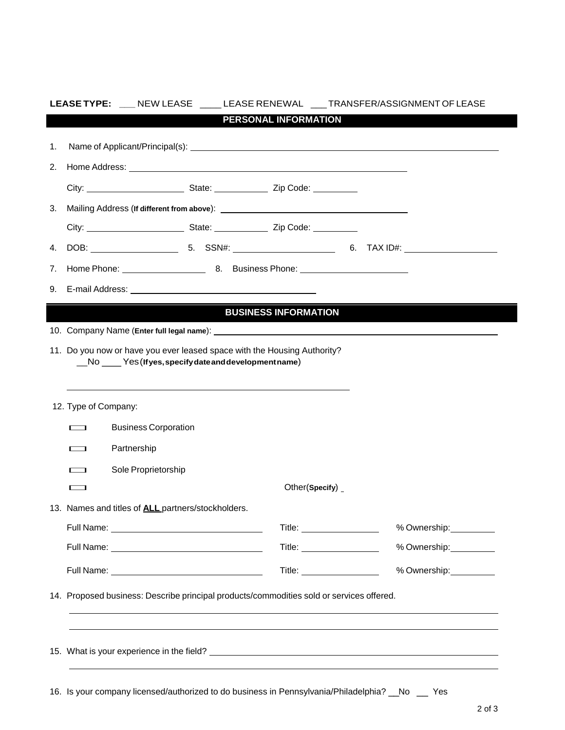|    | LEASE TYPE: ___ NEW LEASE ____ LEASE RENEWAL ___ TRANSFER/ASSIGNMENT OF LEASE                                                                                              |                                |                                                                                                                                                                                                                                |
|----|----------------------------------------------------------------------------------------------------------------------------------------------------------------------------|--------------------------------|--------------------------------------------------------------------------------------------------------------------------------------------------------------------------------------------------------------------------------|
|    |                                                                                                                                                                            | PERSONAL INFORMATION           |                                                                                                                                                                                                                                |
| 1. |                                                                                                                                                                            |                                |                                                                                                                                                                                                                                |
|    |                                                                                                                                                                            |                                |                                                                                                                                                                                                                                |
| 2. |                                                                                                                                                                            |                                |                                                                                                                                                                                                                                |
|    |                                                                                                                                                                            |                                |                                                                                                                                                                                                                                |
| 3. |                                                                                                                                                                            |                                |                                                                                                                                                                                                                                |
|    |                                                                                                                                                                            |                                |                                                                                                                                                                                                                                |
| 4. |                                                                                                                                                                            |                                |                                                                                                                                                                                                                                |
| 7. |                                                                                                                                                                            |                                |                                                                                                                                                                                                                                |
| 9. |                                                                                                                                                                            |                                |                                                                                                                                                                                                                                |
|    |                                                                                                                                                                            | <b>BUSINESS INFORMATION</b>    |                                                                                                                                                                                                                                |
|    |                                                                                                                                                                            |                                |                                                                                                                                                                                                                                |
|    | 11. Do you now or have you ever leased space with the Housing Authority?                                                                                                   |                                |                                                                                                                                                                                                                                |
|    | __No ____Yes(Ifyes, specify date and development name)<br>and the control of the control of the control of the control of the control of the control of the control of the |                                |                                                                                                                                                                                                                                |
|    | 12. Type of Company:                                                                                                                                                       |                                |                                                                                                                                                                                                                                |
|    | <b>Business Corporation</b><br>$\overline{\phantom{a}}$                                                                                                                    |                                |                                                                                                                                                                                                                                |
|    | Partnership<br>$\overline{\phantom{0}}$                                                                                                                                    |                                |                                                                                                                                                                                                                                |
|    | Sole Proprietorship<br><b>Contract Contract</b>                                                                                                                            |                                |                                                                                                                                                                                                                                |
|    | $\overline{\phantom{0}}$                                                                                                                                                   | Other(Specify) $_{-}$          |                                                                                                                                                                                                                                |
|    | 13. Names and titles of <b>ALL</b> partners/stockholders.                                                                                                                  |                                |                                                                                                                                                                                                                                |
|    |                                                                                                                                                                            |                                |                                                                                                                                                                                                                                |
|    |                                                                                                                                                                            | Title: ____________________    | % Ownership: \\sqrt{\math{\smath{\smath{\smath{\smath{\smath{\smath{\smath{\smath{\smath{\smath{\smath{\smath{\smath{\smath{\smath{\smath{\smath{\smath{\smath{\smath{\smath{\smath{\smath{\smath{\smath{\smath{\smath{\smath{ |
|    |                                                                                                                                                                            | Title: _______________________ | % Ownership:__________                                                                                                                                                                                                         |
|    | 14. Proposed business: Describe principal products/commodities sold or services offered.                                                                                   |                                |                                                                                                                                                                                                                                |

16. Is your company licensed/authorized to do business in Pennsylvania/Philadelphia? \_\_No \_\_ Yes